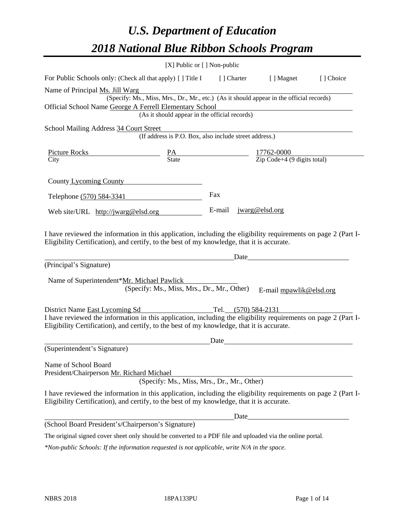# *U.S. Department of Education 2018 National Blue Ribbon Schools Program*

|                                                                                                                                                                                                              | [X] Public or [] Non-public                            |       |                                                                                          |           |
|--------------------------------------------------------------------------------------------------------------------------------------------------------------------------------------------------------------|--------------------------------------------------------|-------|------------------------------------------------------------------------------------------|-----------|
| For Public Schools only: (Check all that apply) [] Title I [] Charter [] Magnet                                                                                                                              |                                                        |       |                                                                                          | [] Choice |
| Name of Principal Ms. Jill Warg                                                                                                                                                                              |                                                        |       |                                                                                          |           |
|                                                                                                                                                                                                              |                                                        |       | (Specify: Ms., Miss, Mrs., Dr., Mr., etc.) (As it should appear in the official records) |           |
| Official School Name George A Ferrell Elementary School                                                                                                                                                      |                                                        |       |                                                                                          |           |
|                                                                                                                                                                                                              | (As it should appear in the official records)          |       |                                                                                          |           |
| School Mailing Address 34 Court Street                                                                                                                                                                       |                                                        |       |                                                                                          |           |
|                                                                                                                                                                                                              | (If address is P.O. Box, also include street address.) |       |                                                                                          |           |
|                                                                                                                                                                                                              |                                                        |       |                                                                                          |           |
| $\frac{\text{Picture Rocks}}{\text{City}}$ $\frac{\text{PA}}{\text{State}}$ $\frac{17762-0000}{\text{Zip Code}+4 (9 digits total)}$                                                                          |                                                        |       |                                                                                          |           |
|                                                                                                                                                                                                              |                                                        |       |                                                                                          |           |
| County Lycoming County                                                                                                                                                                                       |                                                        |       |                                                                                          |           |
| Telephone (570) 584-3341                                                                                                                                                                                     |                                                        | Fax   |                                                                                          |           |
|                                                                                                                                                                                                              |                                                        |       |                                                                                          |           |
| Web site/URL http://jwarg@elsd.org                                                                                                                                                                           |                                                        |       | E-mail jwarg@elsd.org                                                                    |           |
| I have reviewed the information in this application, including the eligibility requirements on page 2 (Part I-                                                                                               |                                                        |       |                                                                                          |           |
| Eligibility Certification), and certify, to the best of my knowledge, that it is accurate.                                                                                                                   |                                                        |       |                                                                                          |           |
|                                                                                                                                                                                                              |                                                        |       | Date                                                                                     |           |
| (Principal's Signature)                                                                                                                                                                                      |                                                        |       |                                                                                          |           |
| Name of Superintendent*Mr. Michael Pawlick                                                                                                                                                                   |                                                        |       |                                                                                          |           |
|                                                                                                                                                                                                              | (Specify: Ms., Miss, Mrs., Dr., Mr., Other)            |       | E-mail mpawlik@elsd.org                                                                  |           |
|                                                                                                                                                                                                              |                                                        |       |                                                                                          |           |
| District Name East Lycoming Sd                                                                                                                                                                               | Tel. $(570)$ 584-2131                                  |       |                                                                                          |           |
| I have reviewed the information in this application, including the eligibility requirements on page 2 (Part I-                                                                                               |                                                        |       |                                                                                          |           |
| Eligibility Certification), and certify, to the best of my knowledge, that it is accurate.                                                                                                                   |                                                        |       |                                                                                          |           |
|                                                                                                                                                                                                              |                                                        | Date  |                                                                                          |           |
| (Superintendent's Signature)                                                                                                                                                                                 |                                                        |       |                                                                                          |           |
|                                                                                                                                                                                                              |                                                        |       |                                                                                          |           |
| Name of School Board                                                                                                                                                                                         |                                                        |       |                                                                                          |           |
| President/Chairperson Mr. Richard Michael                                                                                                                                                                    | (Specify: Ms., Miss, Mrs., Dr., Mr., Other)            |       |                                                                                          |           |
|                                                                                                                                                                                                              |                                                        |       |                                                                                          |           |
| I have reviewed the information in this application, including the eligibility requirements on page 2 (Part I-<br>Eligibility Certification), and certify, to the best of my knowledge, that it is accurate. |                                                        |       |                                                                                          |           |
|                                                                                                                                                                                                              |                                                        | Date_ |                                                                                          |           |
| (School Board President's/Chairperson's Signature)                                                                                                                                                           |                                                        |       |                                                                                          |           |
| The original signed cover sheet only should be converted to a PDF file and uploaded via the online portal.                                                                                                   |                                                        |       |                                                                                          |           |

*\*Non-public Schools: If the information requested is not applicable, write N/A in the space.*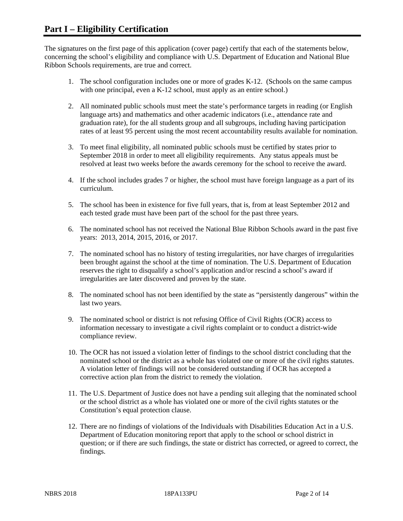The signatures on the first page of this application (cover page) certify that each of the statements below, concerning the school's eligibility and compliance with U.S. Department of Education and National Blue Ribbon Schools requirements, are true and correct.

- 1. The school configuration includes one or more of grades K-12. (Schools on the same campus with one principal, even a K-12 school, must apply as an entire school.)
- 2. All nominated public schools must meet the state's performance targets in reading (or English language arts) and mathematics and other academic indicators (i.e., attendance rate and graduation rate), for the all students group and all subgroups, including having participation rates of at least 95 percent using the most recent accountability results available for nomination.
- 3. To meet final eligibility, all nominated public schools must be certified by states prior to September 2018 in order to meet all eligibility requirements. Any status appeals must be resolved at least two weeks before the awards ceremony for the school to receive the award.
- 4. If the school includes grades 7 or higher, the school must have foreign language as a part of its curriculum.
- 5. The school has been in existence for five full years, that is, from at least September 2012 and each tested grade must have been part of the school for the past three years.
- 6. The nominated school has not received the National Blue Ribbon Schools award in the past five years: 2013, 2014, 2015, 2016, or 2017.
- 7. The nominated school has no history of testing irregularities, nor have charges of irregularities been brought against the school at the time of nomination. The U.S. Department of Education reserves the right to disqualify a school's application and/or rescind a school's award if irregularities are later discovered and proven by the state.
- 8. The nominated school has not been identified by the state as "persistently dangerous" within the last two years.
- 9. The nominated school or district is not refusing Office of Civil Rights (OCR) access to information necessary to investigate a civil rights complaint or to conduct a district-wide compliance review.
- 10. The OCR has not issued a violation letter of findings to the school district concluding that the nominated school or the district as a whole has violated one or more of the civil rights statutes. A violation letter of findings will not be considered outstanding if OCR has accepted a corrective action plan from the district to remedy the violation.
- 11. The U.S. Department of Justice does not have a pending suit alleging that the nominated school or the school district as a whole has violated one or more of the civil rights statutes or the Constitution's equal protection clause.
- 12. There are no findings of violations of the Individuals with Disabilities Education Act in a U.S. Department of Education monitoring report that apply to the school or school district in question; or if there are such findings, the state or district has corrected, or agreed to correct, the findings.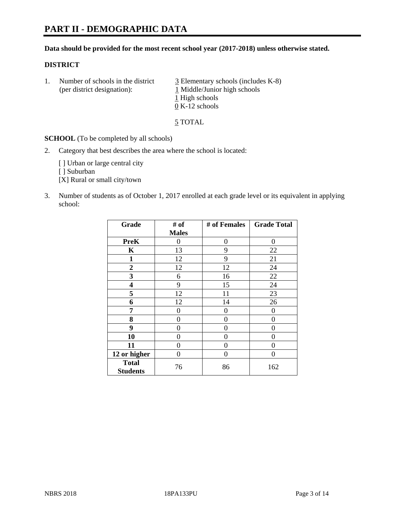# **PART II - DEMOGRAPHIC DATA**

### **Data should be provided for the most recent school year (2017-2018) unless otherwise stated.**

### **DISTRICT**

1. Number of schools in the district  $\frac{3}{2}$  Elementary schools (includes K-8) (per district designation): 1 Middle/Junior high schools 1 High schools 0 K-12 schools

5 TOTAL

**SCHOOL** (To be completed by all schools)

2. Category that best describes the area where the school is located:

[] Urban or large central city

[ ] Suburban

[X] Rural or small city/town

3. Number of students as of October 1, 2017 enrolled at each grade level or its equivalent in applying school:

| Grade                           | # of         | # of Females | <b>Grade Total</b> |
|---------------------------------|--------------|--------------|--------------------|
|                                 | <b>Males</b> |              |                    |
| <b>PreK</b>                     | 0            | $\theta$     | 0                  |
| $\mathbf K$                     | 13           | 9            | 22                 |
| $\mathbf{1}$                    | 12           | 9            | 21                 |
| 2                               | 12           | 12           | 24                 |
| 3                               | 6            | 16           | 22                 |
| 4                               | 9            | 15           | 24                 |
| 5                               | 12           | 11           | 23                 |
| 6                               | 12           | 14           | 26                 |
| 7                               | 0            | 0            | 0                  |
| 8                               | 0            | 0            | 0                  |
| 9                               | 0            | 0            | 0                  |
| 10                              | 0            | 0            | 0                  |
| 11                              | 0            | 0            | 0                  |
| 12 or higher                    | 0            | 0            | 0                  |
| <b>Total</b><br><b>Students</b> | 76           | 86           | 162                |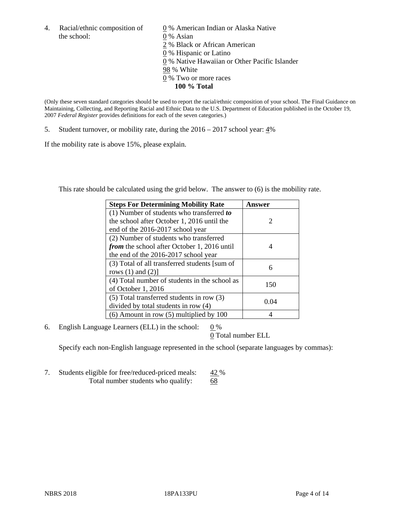the school: 0 % Asian

4. Racial/ethnic composition of  $\qquad 0\%$  American Indian or Alaska Native 2 % Black or African American 0 % Hispanic or Latino 0 % Native Hawaiian or Other Pacific Islander 98 % White 0 % Two or more races **100 % Total**

(Only these seven standard categories should be used to report the racial/ethnic composition of your school. The Final Guidance on Maintaining, Collecting, and Reporting Racial and Ethnic Data to the U.S. Department of Education published in the October 19, 2007 *Federal Register* provides definitions for each of the seven categories.)

5. Student turnover, or mobility rate, during the 2016 – 2017 school year: 4%

If the mobility rate is above 15%, please explain.

This rate should be calculated using the grid below. The answer to (6) is the mobility rate.

| <b>Steps For Determining Mobility Rate</b>         | Answer                      |
|----------------------------------------------------|-----------------------------|
| (1) Number of students who transferred to          |                             |
| the school after October 1, 2016 until the         | $\mathcal{D}_{\mathcal{L}}$ |
| end of the 2016-2017 school year                   |                             |
| (2) Number of students who transferred             |                             |
| <i>from</i> the school after October 1, 2016 until | 4                           |
| the end of the 2016-2017 school year               |                             |
| (3) Total of all transferred students [sum of      | 6                           |
| rows $(1)$ and $(2)$ ]                             |                             |
| (4) Total number of students in the school as      | 150                         |
| of October 1, 2016                                 |                             |
| (5) Total transferred students in row (3)          | 0.04                        |
| divided by total students in row (4)               |                             |
| $(6)$ Amount in row $(5)$ multiplied by 100        |                             |

6. English Language Learners (ELL) in the school:  $0\%$ 

0 Total number ELL

Specify each non-English language represented in the school (separate languages by commas):

7. Students eligible for free/reduced-priced meals: 42 % Total number students who qualify: 68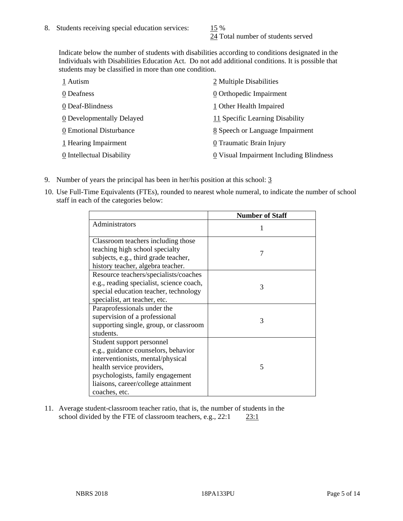24 Total number of students served

Indicate below the number of students with disabilities according to conditions designated in the Individuals with Disabilities Education Act. Do not add additional conditions. It is possible that students may be classified in more than one condition.

| 1 Autism                  | 2 Multiple Disabilities                 |
|---------------------------|-----------------------------------------|
| 0 Deafness                | 0 Orthopedic Impairment                 |
| 0 Deaf-Blindness          | 1 Other Health Impaired                 |
| 0 Developmentally Delayed | 11 Specific Learning Disability         |
| 0 Emotional Disturbance   | 8 Speech or Language Impairment         |
| 1 Hearing Impairment      | 0 Traumatic Brain Injury                |
| 0 Intellectual Disability | 0 Visual Impairment Including Blindness |

- 9. Number of years the principal has been in her/his position at this school: 3
- 10. Use Full-Time Equivalents (FTEs), rounded to nearest whole numeral, to indicate the number of school staff in each of the categories below:

|                                                                                                                                                                                                                                | <b>Number of Staff</b> |
|--------------------------------------------------------------------------------------------------------------------------------------------------------------------------------------------------------------------------------|------------------------|
| Administrators                                                                                                                                                                                                                 |                        |
| Classroom teachers including those<br>teaching high school specialty<br>subjects, e.g., third grade teacher,<br>history teacher, algebra teacher.                                                                              | 7                      |
| Resource teachers/specialists/coaches<br>e.g., reading specialist, science coach,<br>special education teacher, technology<br>specialist, art teacher, etc.                                                                    | 3                      |
| Paraprofessionals under the<br>supervision of a professional<br>supporting single, group, or classroom<br>students.                                                                                                            | 3                      |
| Student support personnel<br>e.g., guidance counselors, behavior<br>interventionists, mental/physical<br>health service providers,<br>psychologists, family engagement<br>liaisons, career/college attainment<br>coaches, etc. | 5                      |

11. Average student-classroom teacher ratio, that is, the number of students in the school divided by the FTE of classroom teachers, e.g., 22:1 23:1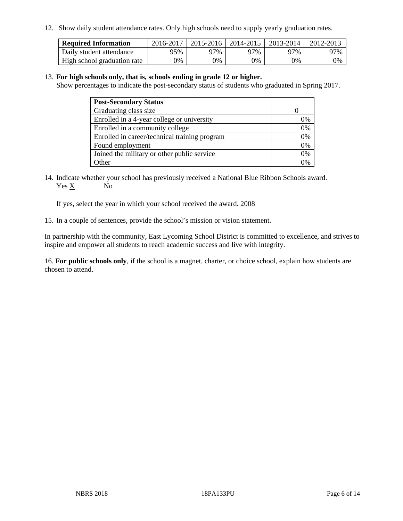12. Show daily student attendance rates. Only high schools need to supply yearly graduation rates.

| <b>Required Information</b> | 2016-2017 | $2015 - 2016$ | 2014-2015 | 2013-2014 | 2012-2013 |
|-----------------------------|-----------|---------------|-----------|-----------|-----------|
| Daily student attendance    | 95%       | 97%           | 97%       | 77%       | 97%       |
| High school graduation rate | 0%        | 0%            | 0%        | 0%        | 0%        |

### 13. **For high schools only, that is, schools ending in grade 12 or higher.**

Show percentages to indicate the post-secondary status of students who graduated in Spring 2017.

| <b>Post-Secondary Status</b>                  |    |
|-----------------------------------------------|----|
| Graduating class size                         |    |
| Enrolled in a 4-year college or university    | 0% |
| Enrolled in a community college               | 0% |
| Enrolled in career/technical training program | 0% |
| Found employment                              | 0% |
| Joined the military or other public service   | 0% |
| Other                                         |    |

14. Indicate whether your school has previously received a National Blue Ribbon Schools award. Yes X No

If yes, select the year in which your school received the award. 2008

15. In a couple of sentences, provide the school's mission or vision statement.

In partnership with the community, East Lycoming School District is committed to excellence, and strives to inspire and empower all students to reach academic success and live with integrity.

16. **For public schools only**, if the school is a magnet, charter, or choice school, explain how students are chosen to attend.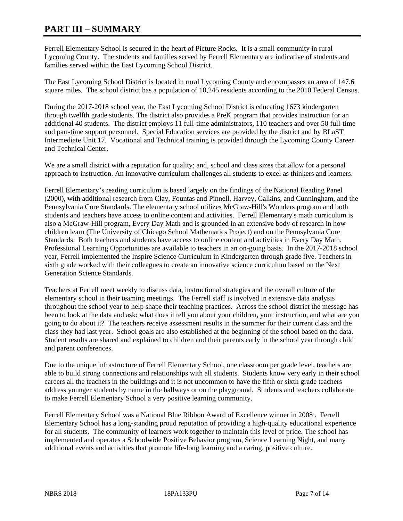# **PART III – SUMMARY**

Ferrell Elementary School is secured in the heart of Picture Rocks. It is a small community in rural Lycoming County. The students and families served by Ferrell Elementary are indicative of students and families served within the East Lycoming School District.

The East Lycoming School District is located in rural Lycoming County and encompasses an area of 147.6 square miles. The school district has a population of 10,245 residents according to the 2010 Federal Census.

During the 2017-2018 school year, the East Lycoming School District is educating 1673 kindergarten through twelfth grade students. The district also provides a PreK program that provides instruction for an additional 40 students. The district employs 11 full-time administrators, 110 teachers and over 50 full-time and part-time support personnel. Special Education services are provided by the district and by BLaST Intermediate Unit 17. Vocational and Technical training is provided through the Lycoming County Career and Technical Center.

We are a small district with a reputation for quality; and, school and class sizes that allow for a personal approach to instruction. An innovative curriculum challenges all students to excel as thinkers and learners.

Ferrell Elementary's reading curriculum is based largely on the findings of the National Reading Panel (2000), with additional research from Clay, Fountas and Pinnell, Harvey, Calkins, and Cunningham, and the Pennsylvania Core Standards. The elementary school utilizes McGraw-Hill's Wonders program and both students and teachers have access to online content and activities. Ferrell Elementary's math curriculum is also a McGraw-Hill program, Every Day Math and is grounded in an extensive body of research in how children learn (The University of Chicago School Mathematics Project) and on the Pennsylvania Core Standards. Both teachers and students have access to online content and activities in Every Day Math. Professional Learning Opportunities are available to teachers in an on-going basis. In the 2017-2018 school year, Ferrell implemented the Inspire Science Curriculum in Kindergarten through grade five. Teachers in sixth grade worked with their colleagues to create an innovative science curriculum based on the Next Generation Science Standards.

Teachers at Ferrell meet weekly to discuss data, instructional strategies and the overall culture of the elementary school in their teaming meetings. The Ferrell staff is involved in extensive data analysis throughout the school year to help shape their teaching practices. Across the school district the message has been to look at the data and ask: what does it tell you about your children, your instruction, and what are you going to do about it? The teachers receive assessment results in the summer for their current class and the class they had last year. School goals are also established at the beginning of the school based on the data. Student results are shared and explained to children and their parents early in the school year through child and parent conferences.

Due to the unique infrastructure of Ferrell Elementary School, one classroom per grade level, teachers are able to build strong connections and relationships with all students. Students know very early in their school careers all the teachers in the buildings and it is not uncommon to have the fifth or sixth grade teachers address younger students by name in the hallways or on the playground. Students and teachers collaborate to make Ferrell Elementary School a very positive learning community.

Ferrell Elementary School was a National Blue Ribbon Award of Excellence winner in 2008 . Ferrell Elementary School has a long-standing proud reputation of providing a high-quality educational experience for all students. The community of learners work together to maintain this level of pride. The school has implemented and operates a Schoolwide Positive Behavior program, Science Learning Night, and many additional events and activities that promote life-long learning and a caring, positive culture.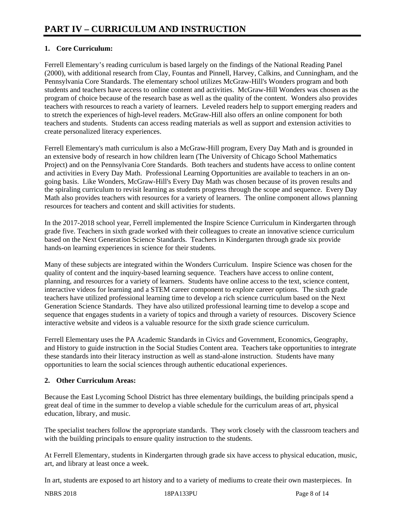# **1. Core Curriculum:**

Ferrell Elementary's reading curriculum is based largely on the findings of the National Reading Panel (2000), with additional research from Clay, Fountas and Pinnell, Harvey, Calkins, and Cunningham, and the Pennsylvania Core Standards. The elementary school utilizes McGraw-Hill's Wonders program and both students and teachers have access to online content and activities. McGraw-Hill Wonders was chosen as the program of choice because of the research base as well as the quality of the content. Wonders also provides teachers with resources to reach a variety of learners. Leveled readers help to support emerging readers and to stretch the experiences of high-level readers. McGraw-Hill also offers an online component for both teachers and students. Students can access reading materials as well as support and extension activities to create personalized literacy experiences.

Ferrell Elementary's math curriculum is also a McGraw-Hill program, Every Day Math and is grounded in an extensive body of research in how children learn (The University of Chicago School Mathematics Project) and on the Pennsylvania Core Standards. Both teachers and students have access to online content and activities in Every Day Math. Professional Learning Opportunities are available to teachers in an ongoing basis. Like Wonders, McGraw-Hill's Every Day Math was chosen because of its proven results and the spiraling curriculum to revisit learning as students progress through the scope and sequence. Every Day Math also provides teachers with resources for a variety of learners. The online component allows planning resources for teachers and content and skill activities for students.

In the 2017-2018 school year, Ferrell implemented the Inspire Science Curriculum in Kindergarten through grade five. Teachers in sixth grade worked with their colleagues to create an innovative science curriculum based on the Next Generation Science Standards. Teachers in Kindergarten through grade six provide hands-on learning experiences in science for their students.

Many of these subjects are integrated within the Wonders Curriculum. Inspire Science was chosen for the quality of content and the inquiry-based learning sequence. Teachers have access to online content, planning, and resources for a variety of learners. Students have online access to the text, science content, interactive videos for learning and a STEM career component to explore career options. The sixth grade teachers have utilized professional learning time to develop a rich science curriculum based on the Next Generation Science Standards. They have also utilized professional learning time to develop a scope and sequence that engages students in a variety of topics and through a variety of resources. Discovery Science interactive website and videos is a valuable resource for the sixth grade science curriculum.

Ferrell Elementary uses the PA Academic Standards in Civics and Government, Economics, Geography, and History to guide instruction in the Social Studies Content area. Teachers take opportunities to integrate these standards into their literacy instruction as well as stand-alone instruction. Students have many opportunities to learn the social sciences through authentic educational experiences.

# **2. Other Curriculum Areas:**

Because the East Lycoming School District has three elementary buildings, the building principals spend a great deal of time in the summer to develop a viable schedule for the curriculum areas of art, physical education, library, and music.

The specialist teachers follow the appropriate standards. They work closely with the classroom teachers and with the building principals to ensure quality instruction to the students.

At Ferrell Elementary, students in Kindergarten through grade six have access to physical education, music, art, and library at least once a week.

In art, students are exposed to art history and to a variety of mediums to create their own masterpieces. In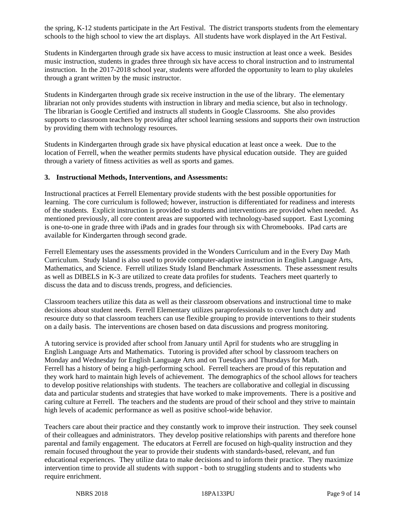the spring, K-12 students participate in the Art Festival. The district transports students from the elementary schools to the high school to view the art displays. All students have work displayed in the Art Festival.

Students in Kindergarten through grade six have access to music instruction at least once a week. Besides music instruction, students in grades three through six have access to choral instruction and to instrumental instruction. In the 2017-2018 school year, students were afforded the opportunity to learn to play ukuleles through a grant written by the music instructor.

Students in Kindergarten through grade six receive instruction in the use of the library. The elementary librarian not only provides students with instruction in library and media science, but also in technology. The librarian is Google Certified and instructs all students in Google Classrooms. She also provides supports to classroom teachers by providing after school learning sessions and supports their own instruction by providing them with technology resources.

Students in Kindergarten through grade six have physical education at least once a week. Due to the location of Ferrell, when the weather permits students have physical education outside. They are guided through a variety of fitness activities as well as sports and games.

### **3. Instructional Methods, Interventions, and Assessments:**

Instructional practices at Ferrell Elementary provide students with the best possible opportunities for learning. The core curriculum is followed; however, instruction is differentiated for readiness and interests of the students. Explicit instruction is provided to students and interventions are provided when needed. As mentioned previously, all core content areas are supported with technology-based support. East Lycoming is one-to-one in grade three with iPads and in grades four through six with Chromebooks. IPad carts are available for Kindergarten through second grade.

Ferrell Elementary uses the assessments provided in the Wonders Curriculum and in the Every Day Math Curriculum. Study Island is also used to provide computer-adaptive instruction in English Language Arts, Mathematics, and Science. Ferrell utilizes Study Island Benchmark Assessments. These assessment results as well as DIBELS in K-3 are utilized to create data profiles for students. Teachers meet quarterly to discuss the data and to discuss trends, progress, and deficiencies.

Classroom teachers utilize this data as well as their classroom observations and instructional time to make decisions about student needs. Ferrell Elementary utilizes paraprofessionals to cover lunch duty and resource duty so that classroom teachers can use flexible grouping to provide interventions to their students on a daily basis. The interventions are chosen based on data discussions and progress monitoring.

A tutoring service is provided after school from January until April for students who are struggling in English Language Arts and Mathematics. Tutoring is provided after school by classroom teachers on Monday and Wednesday for English Language Arts and on Tuesdays and Thursdays for Math. Ferrell has a history of being a high-performing school. Ferrell teachers are proud of this reputation and they work hard to maintain high levels of achievement. The demographics of the school allows for teachers to develop positive relationships with students. The teachers are collaborative and collegial in discussing data and particular students and strategies that have worked to make improvements. There is a positive and caring culture at Ferrell. The teachers and the students are proud of their school and they strive to maintain high levels of academic performance as well as positive school-wide behavior.

Teachers care about their practice and they constantly work to improve their instruction. They seek counsel of their colleagues and administrators. They develop positive relationships with parents and therefore hone parental and family engagement. The educators at Ferrell are focused on high-quality instruction and they remain focused throughout the year to provide their students with standards-based, relevant, and fun educational experiences. They utilize data to make decisions and to inform their practice. They maximize intervention time to provide all students with support - both to struggling students and to students who require enrichment.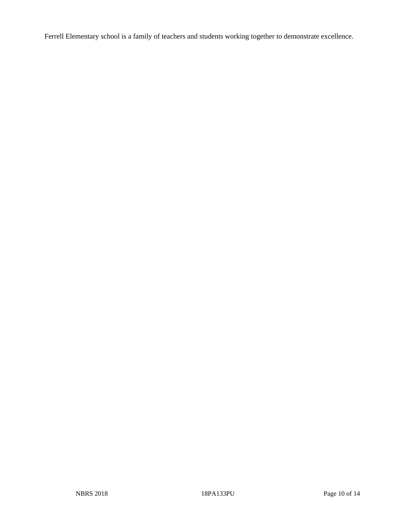Ferrell Elementary school is a family of teachers and students working together to demonstrate excellence.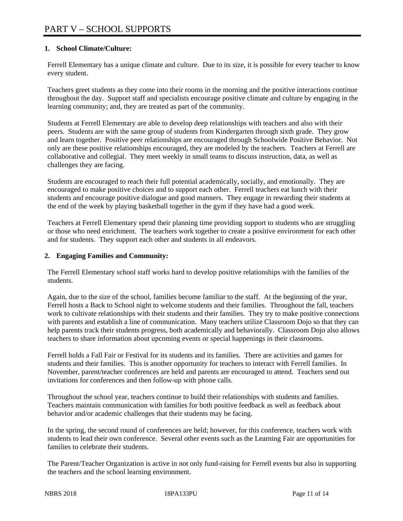# **1. School Climate/Culture:**

Ferrell Elementary has a unique climate and culture. Due to its size, it is possible for every teacher to know every student.

Teachers greet students as they come into their rooms in the morning and the positive interactions continue throughout the day. Support staff and specialists encourage positive climate and culture by engaging in the learning community; and, they are treated as part of the community.

Students at Ferrell Elementary are able to develop deep relationships with teachers and also with their peers. Students are with the same group of students from Kindergarten through sixth grade. They grow and learn together. Positive peer relationships are encouraged through Schoolwide Positive Behavior. Not only are these positive relationships encouraged, they are modeled by the teachers. Teachers at Ferrell are collaborative and collegial. They meet weekly in small teams to discuss instruction, data, as well as challenges they are facing.

Students are encouraged to reach their full potential academically, socially, and emotionally. They are encouraged to make positive choices and to support each other. Ferrell teachers eat lunch with their students and encourage positive dialogue and good manners. They engage in rewarding their students at the end of the week by playing basketball together in the gym if they have had a good week.

Teachers at Ferrell Elementary spend their planning time providing support to students who are struggling or those who need enrichment. The teachers work together to create a positive environment for each other and for students. They support each other and students in all endeavors.

## **2. Engaging Families and Community:**

The Ferrell Elementary school staff works hard to develop positive relationships with the families of the students.

Again, due to the size of the school, families become familiar to the staff. At the beginning of the year, Ferrell hosts a Back to School night to welcome students and their families. Throughout the fall, teachers work to cultivate relationships with their students and their families. They try to make positive connections with parents and establish a line of communication. Many teachers utilize Classroom Dojo so that they can help parents track their students progress, both academically and behaviorally. Classroom Dojo also allows teachers to share information about upcoming events or special happenings in their classrooms.

Ferrell holds a Fall Fair or Festival for its students and its families. There are activities and games for students and their families. This is another opportunity for teachers to interact with Ferrell families. In November, parent/teacher conferences are held and parents are encouraged to attend. Teachers send out invitations for conferences and then follow-up with phone calls.

Throughout the school year, teachers continue to build their relationships with students and families. Teachers maintain communication with families for both positive feedback as well as feedback about behavior and/or academic challenges that their students may be facing.

In the spring, the second round of conferences are held; however, for this conference, teachers work with students to lead their own conference. Several other events such as the Learning Fair are opportunities for families to celebrate their students.

The Parent/Teacher Organization is active in not only fund-raising for Ferrell events but also in supporting the teachers and the school learning environment.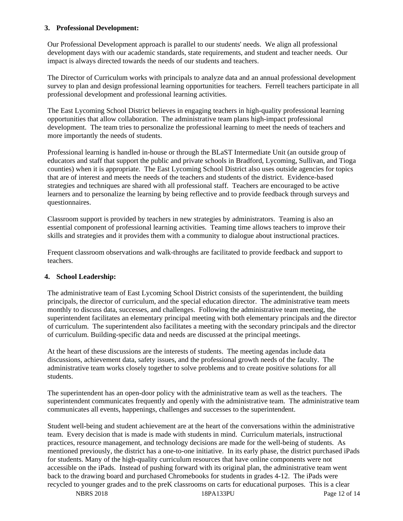## **3. Professional Development:**

Our Professional Development approach is parallel to our students' needs. We align all professional development days with our academic standards, state requirements, and student and teacher needs. Our impact is always directed towards the needs of our students and teachers.

The Director of Curriculum works with principals to analyze data and an annual professional development survey to plan and design professional learning opportunities for teachers. Ferrell teachers participate in all professional development and professional learning activities.

The East Lycoming School District believes in engaging teachers in high-quality professional learning opportunities that allow collaboration. The administrative team plans high-impact professional development. The team tries to personalize the professional learning to meet the needs of teachers and more importantly the needs of students.

Professional learning is handled in-house or through the BLaST Intermediate Unit (an outside group of educators and staff that support the public and private schools in Bradford, Lycoming, Sullivan, and Tioga counties) when it is appropriate. The East Lycoming School District also uses outside agencies for topics that are of interest and meets the needs of the teachers and students of the district. Evidence-based strategies and techniques are shared with all professional staff. Teachers are encouraged to be active learners and to personalize the learning by being reflective and to provide feedback through surveys and questionnaires.

Classroom support is provided by teachers in new strategies by administrators. Teaming is also an essential component of professional learning activities. Teaming time allows teachers to improve their skills and strategies and it provides them with a community to dialogue about instructional practices.

Frequent classroom observations and walk-throughs are facilitated to provide feedback and support to teachers.

## **4. School Leadership:**

The administrative team of East Lycoming School District consists of the superintendent, the building principals, the director of curriculum, and the special education director. The administrative team meets monthly to discuss data, successes, and challenges. Following the administrative team meeting, the superintendent facilitates an elementary principal meeting with both elementary principals and the director of curriculum. The superintendent also facilitates a meeting with the secondary principals and the director of curriculum. Building-specific data and needs are discussed at the principal meetings.

At the heart of these discussions are the interests of students. The meeting agendas include data discussions, achievement data, safety issues, and the professional growth needs of the faculty. The administrative team works closely together to solve problems and to create positive solutions for all students.

The superintendent has an open-door policy with the administrative team as well as the teachers. The superintendent communicates frequently and openly with the administrative team. The administrative team communicates all events, happenings, challenges and successes to the superintendent.

Student well-being and student achievement are at the heart of the conversations within the administrative team. Every decision that is made is made with students in mind. Curriculum materials, instructional practices, resource management, and technology decisions are made for the well-being of students. As mentioned previously, the district has a one-to-one initiative. In its early phase, the district purchased iPads for students. Many of the high-quality curriculum resources that have online components were not accessible on the iPads. Instead of pushing forward with its original plan, the administrative team went back to the drawing board and purchased Chromebooks for students in grades 4-12. The iPads were recycled to younger grades and to the preK classrooms on carts for educational purposes. This is a clear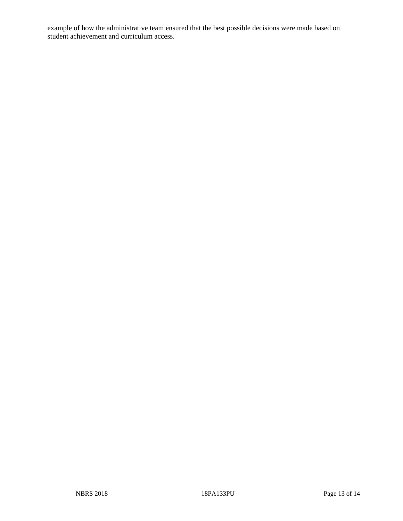example of how the administrative team ensured that the best possible decisions were made based on student achievement and curriculum access.